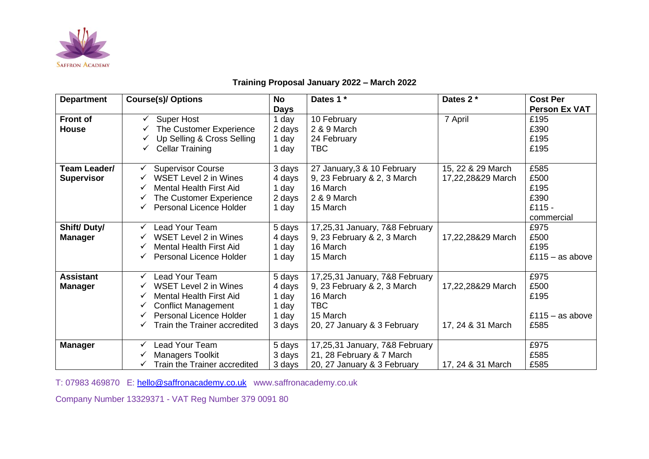

## **Training Proposal January 2022 – March 2022**

| <b>Department</b> | <b>Course(s)/ Options</b>                      | <b>No</b>   | Dates 1 *                      | Dates 2 *         | <b>Cost Per</b>      |
|-------------------|------------------------------------------------|-------------|--------------------------------|-------------------|----------------------|
|                   |                                                | <b>Days</b> |                                |                   | <b>Person Ex VAT</b> |
| <b>Front of</b>   | <b>Super Host</b><br>✓                         | 1 day       | 10 February                    | 7 April           | £195                 |
| <b>House</b>      | The Customer Experience                        | 2 days      | 2 & 9 March                    |                   | £390                 |
|                   | Up Selling & Cross Selling<br>$\checkmark$     | 1 day       | 24 February                    |                   | £195                 |
|                   | <b>Cellar Training</b><br>$\checkmark$         | 1 day       | <b>TBC</b>                     |                   | £195                 |
|                   |                                                |             |                                |                   |                      |
| Team Leader/      | <b>Supervisor Course</b><br>$\checkmark$       | 3 days      | 27 January, 3 & 10 February    | 15, 22 & 29 March | £585                 |
| <b>Supervisor</b> | WSET Level 2 in Wines                          | 4 days      | 9, 23 February & 2, 3 March    | 17,22,28&29 March | £500                 |
|                   | <b>Mental Health First Aid</b>                 | 1 day       | 16 March                       |                   | £195                 |
|                   | The Customer Experience                        | 2 days      | 2 & 9 March                    |                   | £390                 |
|                   | <b>Personal Licence Holder</b><br>$\checkmark$ | 1 day       | 15 March                       |                   | £115 -               |
|                   |                                                |             |                                |                   | commercial           |
| Shift/Duty/       | <b>Lead Your Team</b><br>$\checkmark$          | 5 days      | 17,25,31 January, 7&8 February |                   | £975                 |
| <b>Manager</b>    | WSET Level 2 in Wines                          | 4 days      | 9, 23 February & 2, 3 March    | 17,22,28&29 March | £500                 |
|                   | <b>Mental Health First Aid</b>                 | 1 day       | 16 March                       |                   | £195                 |
|                   | Personal Licence Holder                        | 1 day       | 15 March                       |                   | £115 $-$ as above    |
|                   |                                                |             |                                |                   |                      |
| <b>Assistant</b>  | Lead Your Team                                 | 5 days      | 17,25,31 January, 7&8 February |                   | £975                 |
| <b>Manager</b>    | <b>WSET Level 2 in Wines</b>                   | 4 days      | 9, 23 February & 2, 3 March    | 17,22,28&29 March | £500                 |
|                   | <b>Mental Health First Aid</b><br>✓            | 1 day       | 16 March                       |                   | £195                 |
|                   | <b>Conflict Management</b>                     | I day       | <b>TBC</b>                     |                   |                      |
|                   | Personal Licence Holder<br>$\checkmark$        | 1 day       | 15 March                       |                   | £115 $-$ as above    |
|                   | Train the Trainer accredited<br>$\checkmark$   | 3 days      | 20, 27 January & 3 February    | 17, 24 & 31 March | £585                 |
|                   |                                                |             |                                |                   |                      |
| <b>Manager</b>    | Lead Your Team                                 | 5 days      | 17,25,31 January, 7&8 February |                   | £975                 |
|                   | <b>Managers Toolkit</b>                        | 3 days      | 21, 28 February & 7 March      |                   | £585                 |
|                   | Train the Trainer accredited                   | 3 days      | 20, 27 January & 3 February    | 17, 24 & 31 March | £585                 |

T: 07983 469870 E: [hello@saffronacademy.co.uk](mailto:hello@saffronacademy.co.uk) www.saffronacademy.co.uk

Company Number 13329371 - VAT Reg Number 379 0091 80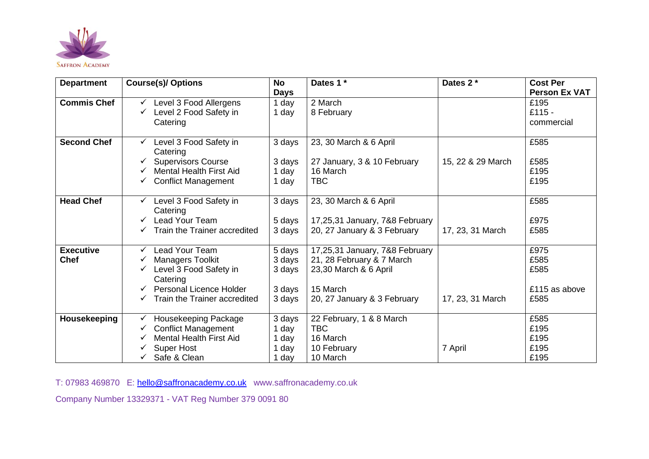

| <b>Department</b>  | <b>Course(s)/ Options</b>              | <b>No</b>   | Dates 1 *                      | Dates 2 *         | <b>Cost Per</b>      |
|--------------------|----------------------------------------|-------------|--------------------------------|-------------------|----------------------|
|                    |                                        | <b>Days</b> |                                |                   | <b>Person Ex VAT</b> |
| <b>Commis Chef</b> | Level 3 Food Allergens<br>$\checkmark$ | 1 day       | 2 March                        |                   | £195                 |
|                    | Level 2 Food Safety in                 | 1 day       | 8 February                     |                   | $£115 -$             |
|                    | Catering                               |             |                                |                   | commercial           |
| <b>Second Chef</b> | Level 3 Food Safety in<br>Catering     | 3 days      | 23, 30 March & 6 April         |                   | £585                 |
|                    | <b>Supervisors Course</b>              | 3 days      | 27 January, 3 & 10 February    | 15, 22 & 29 March | £585                 |
|                    | <b>Mental Health First Aid</b>         | 1 day       | 16 March                       |                   | £195                 |
|                    | <b>Conflict Management</b>             | 1 day       | <b>TBC</b>                     |                   | £195                 |
| <b>Head Chef</b>   | Level 3 Food Safety in<br>Catering     | 3 days      | 23, 30 March & 6 April         |                   | £585                 |
|                    | <b>Lead Your Team</b>                  | 5 days      | 17,25,31 January, 7&8 February |                   | £975                 |
|                    | Train the Trainer accredited           | 3 days      | 20, 27 January & 3 February    | 17, 23, 31 March  | £585                 |
| <b>Executive</b>   | <b>Lead Your Team</b><br>✓             | 5 days      | 17,25,31 January, 7&8 February |                   | £975                 |
| <b>Chef</b>        | <b>Managers Toolkit</b>                | 3 days      | 21, 28 February & 7 March      |                   | £585                 |
|                    | Level 3 Food Safety in<br>Catering     | 3 days      | 23,30 March & 6 April          |                   | £585                 |
|                    | <b>Personal Licence Holder</b>         | 3 days      | 15 March                       |                   | £115 as above        |
|                    | Train the Trainer accredited<br>✓      | 3 days      | 20, 27 January & 3 February    | 17, 23, 31 March  | £585                 |
| Housekeeping       | Housekeeping Package                   | 3 days      | 22 February, 1 & 8 March       |                   | £585                 |
|                    | <b>Conflict Management</b><br>✓        | 1 day       | <b>TBC</b>                     |                   | £195                 |
|                    | <b>Mental Health First Aid</b>         | 1 day       | 16 March                       |                   | £195                 |
|                    | Super Host                             | day         | 10 February                    | 7 April           | £195                 |
|                    | Safe & Clean                           | 1 day       | 10 March                       |                   | £195                 |

T: 07983 469870 E: [hello@saffronacademy.co.uk](mailto:hello@saffronacademy.co.uk) www.saffronacademy.co.uk

Company Number 13329371 - VAT Reg Number 379 0091 80